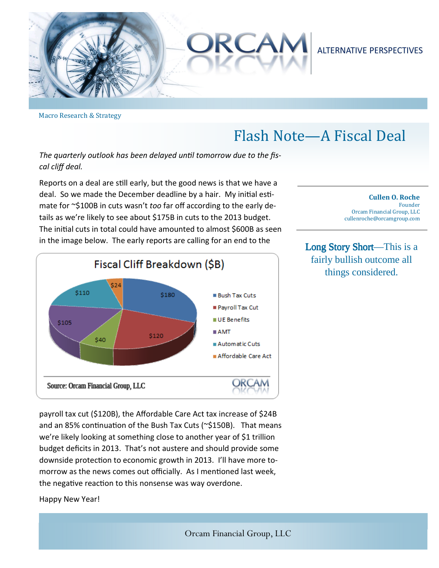

Macro Research & Strategy

## Flash Note—A Fiscal Deal

The quarterly outlook has been delayed until tomorrow due to the fis*cal cliff deal.* 

Reports on a deal are still early, but the good news is that we have a deal. So we made the December deadline by a hair. My initial estimate for ~\$100B in cuts wasn't *too* far off according to the early details as we're likely to see about \$175B in cuts to the 2013 budget. The ini
al cuts in total could have amounted to almost \$600B as seen in the image below. The early reports are calling for an end to the



payroll tax cut (\$120B), the Affordable Care Act tax increase of \$24B and an 85% continuation of the Bush Tax Cuts (~\$150B). That means we're likely looking at something close to another year of \$1 trillion budget deficits in 2013. That's not austere and should provide some downside protection to economic growth in 2013. I'll have more tomorrow as the news comes out officially. As I mentioned last week, the negative reaction to this nonsense was way overdone.

Happy New Year!

**Cullen O. Roche** Founder Orcam Financial Group, LLC cullenroche@orcamgroup.com 

Long Story Short—This is a fairly bullish outcome all things considered.